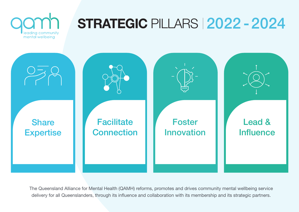

The Queensland Alliance for Mental Health (QAMH) reforms, promotes and drives community mental wellbeing service delivery for all Queenslanders, through its influence and collaboration with its membership and its strategic partners.